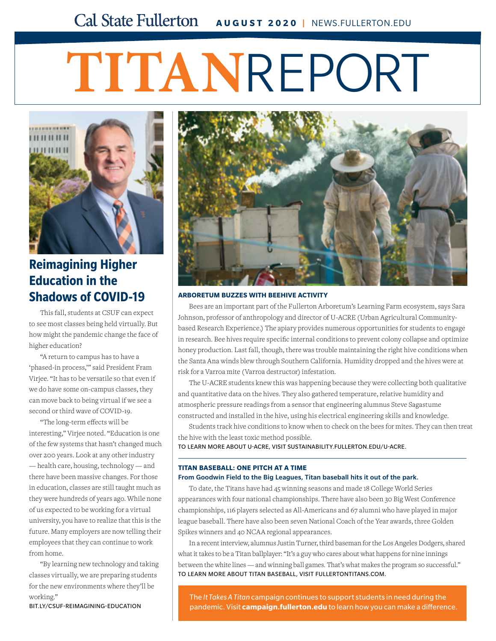# **TITAN**REPORT



## **Reimagining Higher Education in the [Shadows of COVID-19](http://bit.ly/csuf-reimagining-education)**

This fall, students at CSUF can expect to see most classes being held virtually. But how might the pandemic change the face of higher education?

"A return to campus has to have a 'phased-in process,'" said President Fram Virjee. "It has to be versatile so that even if we do have some on-campus classes, they can move back to being virtual if we see a second or third wave of COVID-19.

"The long-term effects will be interesting," Virjee noted. "Education is one of the few systems that hasn't changed much over 200 years. Look at any other industry — health care, housing, technology — and there have been massive changes. For those in education, classes are still taught much as they were hundreds of years ago. While none of us expected to be working for a virtual university, you have to realize that this is the future. Many employers are now telling their employees that they can continue to work from home.

"By learning new technology and taking classes virtually, we are preparing students for the new environments where they'll be working."

BIT.LY/CSUF-REIMAGINING-EDUCATION



#### **ARBORETUM BUZZES WITH BEEHIVE ACTIVITY**

Bees are an important part of the Fullerton Arboretum's Learning Farm ecosystem, says Sara Johnson, professor of anthropology and director of U-ACRE (Urban Agricultural Communitybased Research Experience.) The apiary provides numerous opportunities for students to engage [in research. Bee hives require specific internal conditions to prevent colony collapse and optimize](http://sustainability.fullerton.edu/u-acre)  honey production. Last fall, though, there was trouble maintaining the right hive conditions when the Santa Ana winds blew through Southern California. Humidity dropped and the hives were at risk for a Varroa mite (Varroa destructor) infestation.

The U-ACRE students knew this was happening because they were collecting both qualitative and quantitative data on the hives. They also gathered temperature, relative humidity and atmospheric pressure readings from a sensor that engineering alumnus Steve Sagastume constructed and installed in the hive, using his electrical engineering skills and knowledge.

Students track hive conditions to know when to check on the bees for mites. They can then treat the hive with the least toxic method possible.

TO LEARN MORE ABOUT U-ACRE, VISIT SUSTAINABILITY.FULLERTON.EDU/U-ACRE.

#### **TITAN BASEBALL: ONE PITCH AT A TIME**

#### From Goodwin Field to the Big Leagues, Titan baseball hits it out of the park.

To date, the Titans have had 45 winning seasons and made 18 College World Series appearances with four national championships. There have also been 30 Big West Conference championships, 116 players selected as All-Americans and 67 alumni who have played in major league baseball. There have also been seven National Coach of the Year awards, three Golden Spikes winners and 40 NCAA regional appearances.

In a recent interview, alumnus Justin Turner, third baseman for the Los Angeles Dodgers, shared what it takes to be a Titan ballplayer: "It's a guy who cares about what happens for nine innings [between the white lines — and winning ball games. That's what makes the program so successful."](http://fullertontitans.com) TO LEARN MORE ABOUT TITAN BASEBALL, VISIT FULLERTONTITANS.COM.

The *It Takes A Titan* [campaign continues to support students in need during the](http://campaign.fullerton.edu)  pandemic. Visit **campaign.fullerton.edu** to learn how you can make a difference.